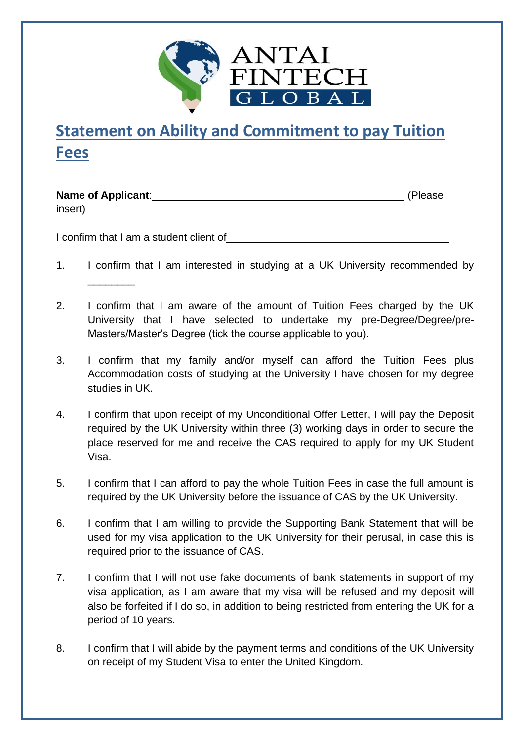

## **Statement on Ability and Commitment to pay Tuition Fees**

**Name of Applicant:**  $\qquad \qquad$  (Please)

\_\_\_\_\_\_\_\_

insert)

I confirm that I am a student client of

- 1. I confirm that I am interested in studying at a UK University recommended by
- 2. I confirm that I am aware of the amount of Tuition Fees charged by the UK University that I have selected to undertake my pre-Degree/Degree/pre-Masters/Master's Degree (tick the course applicable to you).
- 3. I confirm that my family and/or myself can afford the Tuition Fees plus Accommodation costs of studying at the University I have chosen for my degree studies in UK.
- 4. I confirm that upon receipt of my Unconditional Offer Letter, I will pay the Deposit required by the UK University within three (3) working days in order to secure the place reserved for me and receive the CAS required to apply for my UK Student Visa.
- 5. I confirm that I can afford to pay the whole Tuition Fees in case the full amount is required by the UK University before the issuance of CAS by the UK University.
- 6. I confirm that I am willing to provide the Supporting Bank Statement that will be used for my visa application to the UK University for their perusal, in case this is required prior to the issuance of CAS.
- 7. I confirm that I will not use fake documents of bank statements in support of my visa application, as I am aware that my visa will be refused and my deposit will also be forfeited if I do so, in addition to being restricted from entering the UK for a period of 10 years.
- 8. I confirm that I will abide by the payment terms and conditions of the UK University on receipt of my Student Visa to enter the United Kingdom.